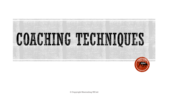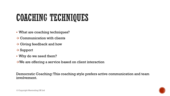# COACHING TECHNIQUES

- What are coaching techniques?
- $\rightarrow$  Communication with clients
- $\rightarrow$  Giving feedback and how
- $\rightarrow$  Support
- Why do we need them?
- $\rightarrow$ We are offering a service based on client interaction

Democratic Coaching: This coaching style prefers active communication and team involvement.

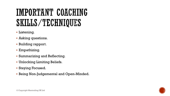# IMPORTANT COACHING SKILLS/TECHNIQUES

- **Listening.**
- Asking questions.
- **Building rapport.**
- Empathizing.
- Summarizing and Reflecting.
- Unlocking Limiting Beliefs.
- Staying Focused.
- Being Non-Judgemental and Open-Minded.

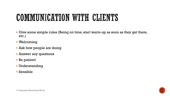#### COMMUNICATION WITH CLIENTS

- Give some simple rules (Being on time, start warm-up as soon as they get there, etc.)
- Welcoming
- Ask how people are doing
- Answer any questions
- Be patient!
- Understanding
- Sensible

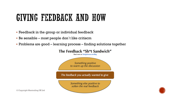#### GIVING FEEDBACK AND HOW

- **Feedback in the group or individual feedback**
- Be sensible most people don´t like critiscm
- Problems are good learning process finding solutions together





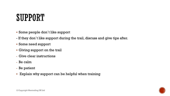### SUPPORT

- Some people don´t like support
- If they don´t like support during the trail, discuss and give tips after.
- Some need support
- Giving support on the trail
- Give clear instructions
- Be calm
- Be patient
- Explain why support can be helpful when training